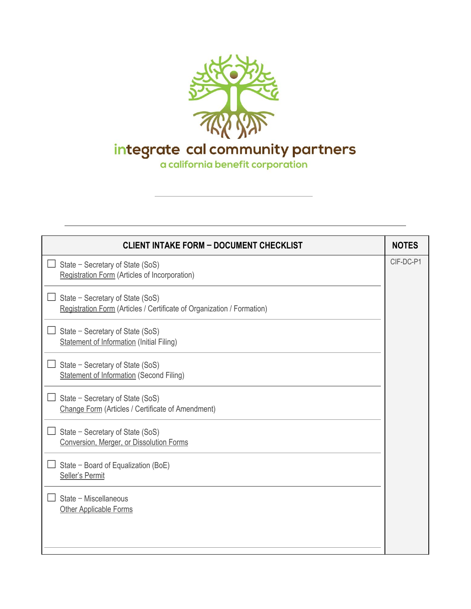

integrate cal community partners<br>a california benefit corporation

| <b>CLIENT INTAKE FORM - DOCUMENT CHECKLIST</b>                                                             | <b>NOTES</b> |
|------------------------------------------------------------------------------------------------------------|--------------|
| State - Secretary of State (SoS)<br>Registration Form (Articles of Incorporation)                          | CIF-DC-P1    |
| State - Secretary of State (SoS)<br>Registration Form (Articles / Certificate of Organization / Formation) |              |
| State - Secretary of State (SoS)<br><b>Statement of Information (Initial Filing)</b>                       |              |
| State - Secretary of State (SoS)<br><b>Statement of Information (Second Filing)</b>                        |              |
| State - Secretary of State (SoS)<br>Change Form (Articles / Certificate of Amendment)                      |              |
| State - Secretary of State (SoS)<br>Conversion, Merger, or Dissolution Forms                               |              |
| State - Board of Equalization (BoE)<br>Seller's Permit                                                     |              |
| State - Miscellaneous<br><b>Other Applicable Forms</b>                                                     |              |
|                                                                                                            |              |